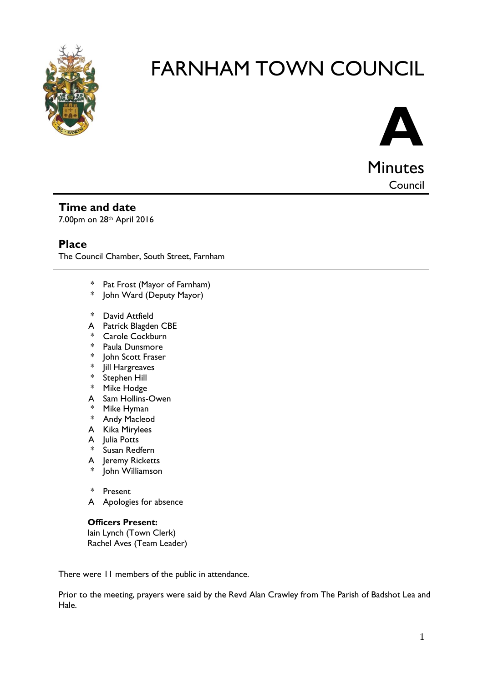

# FARNHAM TOWN COUNCIL



**Council** 

### **Time and date**

7.00pm on 28th April 2016

### **Place**

The Council Chamber, South Street, Farnham

- \* Pat Frost (Mayor of Farnham)
- \* John Ward (Deputy Mayor)
- \* David Attfield
- A Patrick Blagden CBE
- \* Carole Cockburn
- \* Paula Dunsmore
- \* John Scott Fraser
- \* Jill Hargreaves<br>\* Stephen Hill
- Stephen Hill
- \* Mike Hodge
- A Sam Hollins-Owen
- \* Mike Hyman
- \* Andy Macleod
- A Kika Mirylees
- A Julia Potts
- \* Susan Redfern
- A Jeremy Ricketts
- John Williamson
- \* Present
- A Apologies for absence

#### **Officers Present:**

Iain Lynch (Town Clerk) Rachel Aves (Team Leader)

There were 11 members of the public in attendance.

Prior to the meeting, prayers were said by the Revd Alan Crawley from The Parish of Badshot Lea and Hale.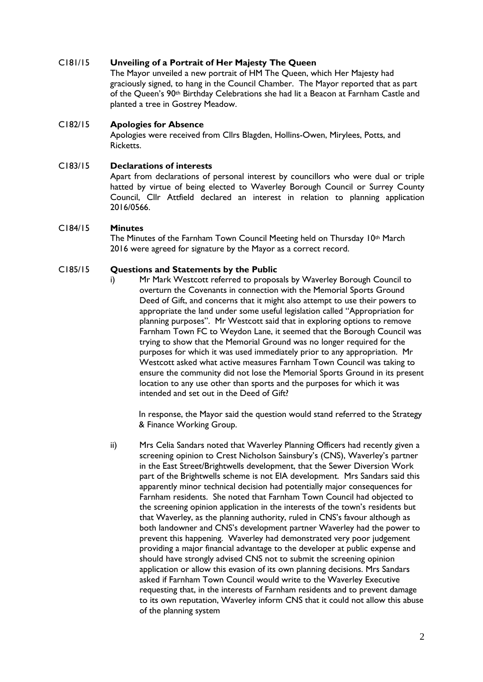#### C181/15 **Unveiling of a Portrait of Her Majesty The Queen**

The Mayor unveiled a new portrait of HM The Queen, which Her Majesty had graciously signed, to hang in the Council Chamber. The Mayor reported that as part of the Queen's 90th Birthday Celebrations she had lit a Beacon at Farnham Castle and planted a tree in Gostrey Meadow.

#### C182/15 **Apologies for Absence**

Apologies were received from Cllrs Blagden, Hollins-Owen, Mirylees, Potts, and Ricketts.

#### C183/15 **Declarations of interests**

Apart from declarations of personal interest by councillors who were dual or triple hatted by virtue of being elected to Waverley Borough Council or Surrey County Council, Cllr Attfield declared an interest in relation to planning application 2016/0566.

#### C184/15 **Minutes**

The Minutes of the Farnham Town Council Meeting held on Thursday 10<sup>th</sup> March 2016 were agreed for signature by the Mayor as a correct record.

#### C185/15 **Questions and Statements by the Public**

i) Mr Mark Westcott referred to proposals by Waverley Borough Council to overturn the Covenants in connection with the Memorial Sports Ground Deed of Gift, and concerns that it might also attempt to use their powers to appropriate the land under some useful legislation called "Appropriation for planning purposes". Mr Westcott said that in exploring options to remove Farnham Town FC to Weydon Lane, it seemed that the Borough Council was trying to show that the Memorial Ground was no longer required for the purposes for which it was used immediately prior to any appropriation. Mr Westcott asked what active measures Farnham Town Council was taking to ensure the community did not lose the Memorial Sports Ground in its present location to any use other than sports and the purposes for which it was intended and set out in the Deed of Gift?

In response, the Mayor said the question would stand referred to the Strategy & Finance Working Group.

ii) Mrs Celia Sandars noted that Waverley Planning Officers had recently given a screening opinion to Crest Nicholson Sainsbury's (CNS), Waverley's partner in the East Street/Brightwells development, that the Sewer Diversion Work part of the Brightwells scheme is not EIA development. Mrs Sandars said this apparently minor technical decision had potentially major consequences for Farnham residents. She noted that Farnham Town Council had objected to the screening opinion application in the interests of the town's residents but that Waverley, as the planning authority, ruled in CNS's favour although as both landowner and CNS's development partner Waverley had the power to prevent this happening. Waverley had demonstrated very poor judgement providing a major financial advantage to the developer at public expense and should have strongly advised CNS not to submit the screening opinion application or allow this evasion of its own planning decisions. Mrs Sandars asked if Farnham Town Council would write to the Waverley Executive requesting that, in the interests of Farnham residents and to prevent damage to its own reputation, Waverley inform CNS that it could not allow this abuse of the planning system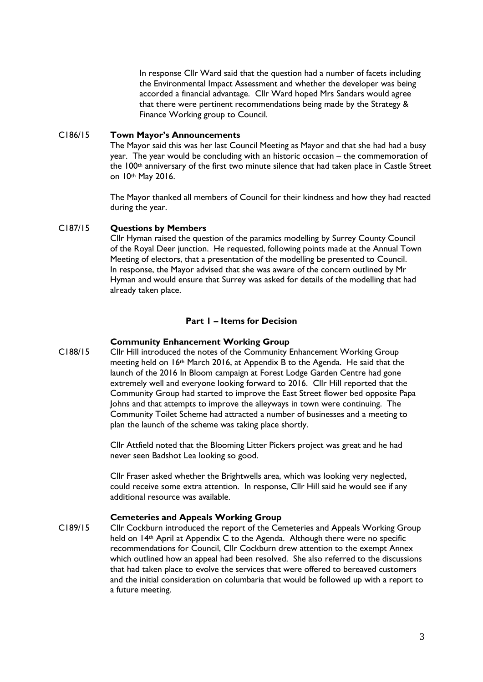In response Cllr Ward said that the question had a number of facets including the Environmental Impact Assessment and whether the developer was being accorded a financial advantage. Cllr Ward hoped Mrs Sandars would agree that there were pertinent recommendations being made by the Strategy & Finance Working group to Council.

#### C186/15 **Town Mayor's Announcements**

The Mayor said this was her last Council Meeting as Mayor and that she had had a busy year. The year would be concluding with an historic occasion – the commemoration of the 100th anniversary of the first two minute silence that had taken place in Castle Street on 10th May 2016.

The Mayor thanked all members of Council for their kindness and how they had reacted during the year.

#### C187/15 **Questions by Members**

Cllr Hyman raised the question of the paramics modelling by Surrey County Council of the Royal Deer junction. He requested, following points made at the Annual Town Meeting of electors, that a presentation of the modelling be presented to Council. In response, the Mayor advised that she was aware of the concern outlined by Mr Hyman and would ensure that Surrey was asked for details of the modelling that had already taken place.

#### **Part 1 – Items for Decision**

#### **Community Enhancement Working Group**

C188/15 Cllr Hill introduced the notes of the Community Enhancement Working Group meeting held on 16th March 2016, at Appendix B to the Agenda. He said that the launch of the 2016 In Bloom campaign at Forest Lodge Garden Centre had gone extremely well and everyone looking forward to 2016. Cllr Hill reported that the Community Group had started to improve the East Street flower bed opposite Papa Johns and that attempts to improve the alleyways in town were continuing. The Community Toilet Scheme had attracted a number of businesses and a meeting to plan the launch of the scheme was taking place shortly.

> Cllr Attfield noted that the Blooming Litter Pickers project was great and he had never seen Badshot Lea looking so good.

Cllr Fraser asked whether the Brightwells area, which was looking very neglected, could receive some extra attention. In response, Cllr Hill said he would see if any additional resource was available.

#### **Cemeteries and Appeals Working Group**

C189/15 Cllr Cockburn introduced the report of the Cemeteries and Appeals Working Group held on 14th April at Appendix C to the Agenda. Although there were no specific recommendations for Council, Cllr Cockburn drew attention to the exempt Annex which outlined how an appeal had been resolved. She also referred to the discussions that had taken place to evolve the services that were offered to bereaved customers and the initial consideration on columbaria that would be followed up with a report to a future meeting.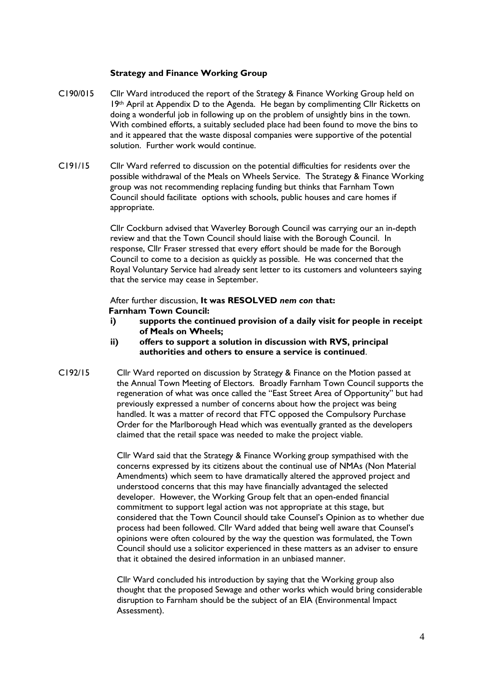#### **Strategy and Finance Working Group**

- C190/015 Cllr Ward introduced the report of the Strategy & Finance Working Group held on 19th April at Appendix D to the Agenda. He began by complimenting Cllr Ricketts on doing a wonderful job in following up on the problem of unsightly bins in the town. With combined efforts, a suitably secluded place had been found to move the bins to and it appeared that the waste disposal companies were supportive of the potential solution. Further work would continue.
- C191/15 Cllr Ward referred to discussion on the potential difficulties for residents over the possible withdrawal of the Meals on Wheels Service. The Strategy & Finance Working group was not recommending replacing funding but thinks that Farnham Town Council should facilitate options with schools, public houses and care homes if appropriate.

Cllr Cockburn advised that Waverley Borough Council was carrying our an in-depth review and that the Town Council should liaise with the Borough Council. In response, Cllr Fraser stressed that every effort should be made for the Borough Council to come to a decision as quickly as possible. He was concerned that the Royal Voluntary Service had already sent letter to its customers and volunteers saying that the service may cease in September.

#### After further discussion, **It was RESOLVED** *nem con* **that: Farnham Town Council:**

- **i) supports the continued provision of a daily visit for people in receipt of Meals on Wheels;**
- **ii) offers to support a solution in discussion with RVS, principal authorities and others to ensure a service is continued**.
- C192/15 Cllr Ward reported on discussion by Strategy & Finance on the Motion passed at the Annual Town Meeting of Electors. Broadly Farnham Town Council supports the regeneration of what was once called the "East Street Area of Opportunity" but had previously expressed a number of concerns about how the project was being handled. It was a matter of record that FTC opposed the Compulsory Purchase Order for the Marlborough Head which was eventually granted as the developers claimed that the retail space was needed to make the project viable.

Cllr Ward said that the Strategy & Finance Working group sympathised with the concerns expressed by its citizens about the continual use of NMAs (Non Material Amendments) which seem to have dramatically altered the approved project and understood concerns that this may have financially advantaged the selected developer. However, the Working Group felt that an open-ended financial commitment to support legal action was not appropriate at this stage, but considered that the Town Council should take Counsel's Opinion as to whether due process had been followed. Cllr Ward added that being well aware that Counsel's opinions were often coloured by the way the question was formulated, the Town Council should use a solicitor experienced in these matters as an adviser to ensure that it obtained the desired information in an unbiased manner.

Cllr Ward concluded his introduction by saying that the Working group also thought that the proposed Sewage and other works which would bring considerable disruption to Farnham should be the subject of an EIA (Environmental Impact Assessment).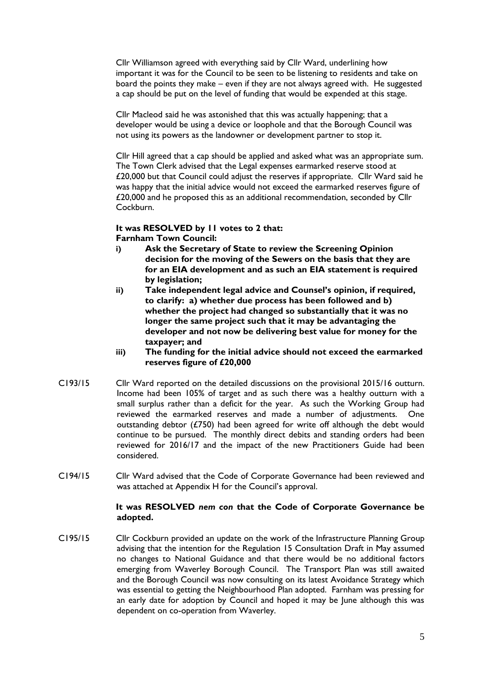Cllr Williamson agreed with everything said by Cllr Ward, underlining how important it was for the Council to be seen to be listening to residents and take on board the points they make – even if they are not always agreed with. He suggested a cap should be put on the level of funding that would be expended at this stage.

Cllr Macleod said he was astonished that this was actually happening; that a developer would be using a device or loophole and that the Borough Council was not using its powers as the landowner or development partner to stop it.

Cllr Hill agreed that a cap should be applied and asked what was an appropriate sum. The Town Clerk advised that the Legal expenses earmarked reserve stood at £20,000 but that Council could adjust the reserves if appropriate. Cllr Ward said he was happy that the initial advice would not exceed the earmarked reserves figure of £20,000 and he proposed this as an additional recommendation, seconded by Cllr Cockburn.

#### **It was RESOLVED by 11 votes to 2 that: Farnham Town Council:**

- **i) Ask the Secretary of State to review the Screening Opinion decision for the moving of the Sewers on the basis that they are for an EIA development and as such an EIA statement is required by legislation;**
- **ii) Take independent legal advice and Counsel's opinion, if required, to clarify: a) whether due process has been followed and b) whether the project had changed so substantially that it was no longer the same project such that it may be advantaging the developer and not now be delivering best value for money for the taxpayer; and**
- **iii) The funding for the initial advice should not exceed the earmarked reserves figure of £20,000**
- C193/15 Cllr Ward reported on the detailed discussions on the provisional 2015/16 outturn. Income had been 105% of target and as such there was a healthy outturn with a small surplus rather than a deficit for the year. As such the Working Group had reviewed the earmarked reserves and made a number of adjustments. One outstanding debtor (£750) had been agreed for write off although the debt would continue to be pursued. The monthly direct debits and standing orders had been reviewed for 2016/17 and the impact of the new Practitioners Guide had been considered.
- C194/15 Cllr Ward advised that the Code of Corporate Governance had been reviewed and was attached at Appendix H for the Council's approval.

#### **It was RESOLVED** *nem con* **that the Code of Corporate Governance be adopted.**

C195/15 Cllr Cockburn provided an update on the work of the Infrastructure Planning Group advising that the intention for the Regulation 15 Consultation Draft in May assumed no changes to National Guidance and that there would be no additional factors emerging from Waverley Borough Council. The Transport Plan was still awaited and the Borough Council was now consulting on its latest Avoidance Strategy which was essential to getting the Neighbourhood Plan adopted. Farnham was pressing for an early date for adoption by Council and hoped it may be June although this was dependent on co-operation from Waverley.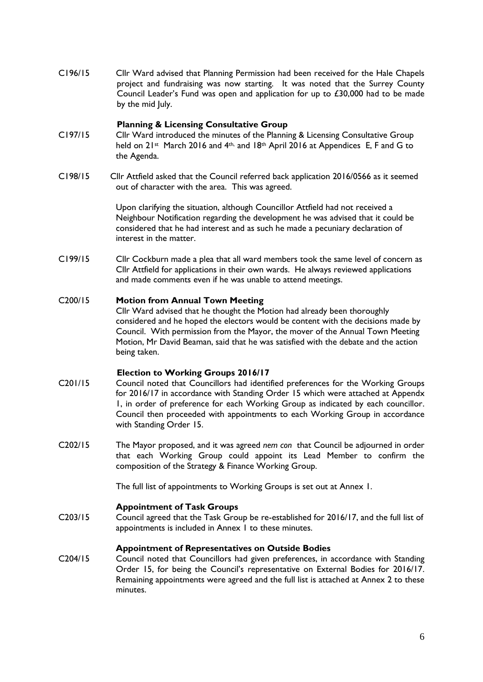C196/15 Cllr Ward advised that Planning Permission had been received for the Hale Chapels project and fundraising was now starting. It was noted that the Surrey County Council Leader's Fund was open and application for up to £30,000 had to be made by the mid luly.

#### **Planning & Licensing Consultative Group**

- C197/15 Cllr Ward introduced the minutes of the Planning & Licensing Consultative Group held on 21st March 2016 and 4th, and 18th April 2016 at Appendices E, F and G to the Agenda.
- C198/15 Cllr Attfield asked that the Council referred back application 2016/0566 as it seemed out of character with the area. This was agreed.

Upon clarifying the situation, although Councillor Attfield had not received a Neighbour Notification regarding the development he was advised that it could be considered that he had interest and as such he made a pecuniary declaration of interest in the matter.

C199/15 Cllr Cockburn made a plea that all ward members took the same level of concern as Cllr Attfield for applications in their own wards. He always reviewed applications and made comments even if he was unable to attend meetings.

#### C200/15 **Motion from Annual Town Meeting**

Cllr Ward advised that he thought the Motion had already been thoroughly considered and he hoped the electors would be content with the decisions made by Council. With permission from the Mayor, the mover of the Annual Town Meeting Motion, Mr David Beaman, said that he was satisfied with the debate and the action being taken.

#### **Election to Working Groups 2016/17**

- C201/15 Council noted that Councillors had identified preferences for the Working Groups for 2016/17 in accordance with Standing Order 15 which were attached at Appendx 1, in order of preference for each Working Group as indicated by each councillor. Council then proceeded with appointments to each Working Group in accordance with Standing Order 15.
- C202/15 The Mayor proposed, and it was agreed *nem con* that Council be adjourned in order that each Working Group could appoint its Lead Member to confirm the composition of the Strategy & Finance Working Group.

The full list of appointments to Working Groups is set out at Annex 1.

#### **Appointment of Task Groups**

C203/15 Council agreed that the Task Group be re-established for 2016/17, and the full list of appointments is included in Annex 1 to these minutes.

#### **Appointment of Representatives on Outside Bodies**

C204/15 Council noted that Councillors had given preferences, in accordance with Standing Order 15, for being the Council's representative on External Bodies for 2016/17. Remaining appointments were agreed and the full list is attached at Annex 2 to these minutes.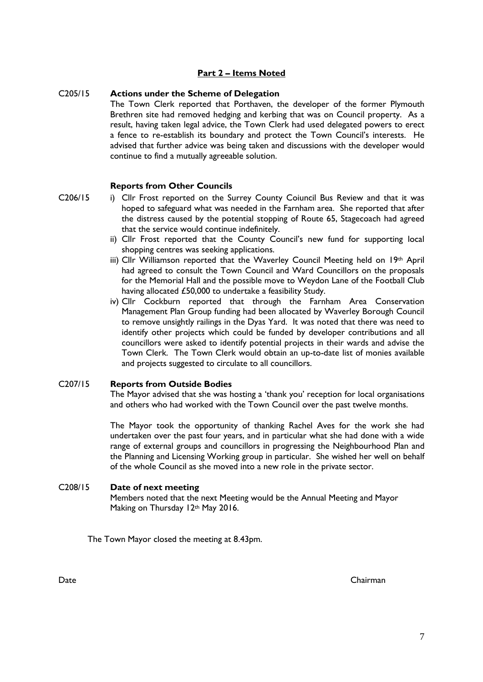#### **Part 2 – Items Noted**

#### C205/15 **Actions under the Scheme of Delegation**

The Town Clerk reported that Porthaven, the developer of the former Plymouth Brethren site had removed hedging and kerbing that was on Council property. As a result, having taken legal advice, the Town Clerk had used delegated powers to erect a fence to re-establish its boundary and protect the Town Council's interests. He advised that further advice was being taken and discussions with the developer would continue to find a mutually agreeable solution.

#### **Reports from Other Councils**

- C206/15 i) Cllr Frost reported on the Surrey County Coiuncil Bus Review and that it was hoped to safeguard what was needed in the Farnham area. She reported that after the distress caused by the potential stopping of Route 65, Stagecoach had agreed that the service would continue indefinitely.
	- ii) Cllr Frost reported that the County Council's new fund for supporting local shopping centres was seeking applications.
	- iii) Cllr Williamson reported that the Waverley Council Meeting held on 19th April had agreed to consult the Town Council and Ward Councillors on the proposals for the Memorial Hall and the possible move to Weydon Lane of the Football Club having allocated £50,000 to undertake a feasibility Study.
	- iv) Cllr Cockburn reported that through the Farnham Area Conservation Management Plan Group funding had been allocated by Waverley Borough Council to remove unsightly railings in the Dyas Yard. It was noted that there was need to identify other projects which could be funded by developer contributions and all councillors were asked to identify potential projects in their wards and advise the Town Clerk. The Town Clerk would obtain an up-to-date list of monies available and projects suggested to circulate to all councillors.

#### C207/15 **Reports from Outside Bodies**

The Mayor advised that she was hosting a 'thank you' reception for local organisations and others who had worked with the Town Council over the past twelve months.

The Mayor took the opportunity of thanking Rachel Aves for the work she had undertaken over the past four years, and in particular what she had done with a wide range of external groups and councillors in progressing the Neighbourhood Plan and the Planning and Licensing Working group in particular. She wished her well on behalf of the whole Council as she moved into a new role in the private sector.

#### C208/15 **Date of next meeting**

Members noted that the next Meeting would be the Annual Meeting and Mayor Making on Thursday 12th May 2016.

The Town Mayor closed the meeting at 8.43pm.

Date Chairman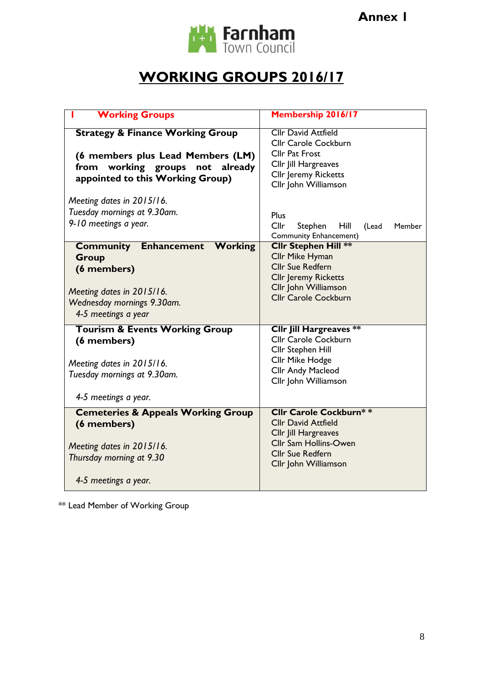

# **WORKING GROUPS 2016/17**

| <b>Working Groups</b>                                                                                                                                      | <b>Membership 2016/17</b>                                                                                                                                       |  |
|------------------------------------------------------------------------------------------------------------------------------------------------------------|-----------------------------------------------------------------------------------------------------------------------------------------------------------------|--|
| <b>Strategy &amp; Finance Working Group</b><br>(6 members plus Lead Members (LM)<br>from working groups not<br>already<br>appointed to this Working Group) | <b>Cllr David Attfield</b><br>Cllr Carole Cockburn<br><b>Cllr Pat Frost</b><br>Cllr Jill Hargreaves<br><b>Cllr Jeremy Ricketts</b><br>Cllr John Williamson      |  |
| Meeting dates in 2015/16.<br>Tuesday mornings at 9.30am.<br>9-10 meetings a year.                                                                          | <b>Plus</b><br>Cllr<br>Stephen<br>Hill<br>(Lead<br>Member<br>Community Enhancement)                                                                             |  |
| <b>Community Enhancement Working</b><br>Group<br>(6 members)<br>Meeting dates in 2015/16.<br>Wednesday mornings 9.30am.<br>4-5 meetings a year             | <b>Cllr Stephen Hill **</b><br>Cllr Mike Hyman<br><b>Cllr Sue Redfern</b><br><b>Cllr Jeremy Ricketts</b><br>Cllr John Williamson<br><b>Cllr Carole Cockburn</b> |  |
| <b>Tourism &amp; Events Working Group</b><br>(6 members)<br>Meeting dates in 2015/16.<br>Tuesday mornings at 9.30am.<br>4-5 meetings a year.               | <b>Cllr Jill Hargreaves **</b><br>Cllr Carole Cockburn<br>Cllr Stephen Hill<br>Cllr Mike Hodge<br>Cllr Andy Macleod<br>Cllr John Williamson                     |  |
| <b>Cemeteries &amp; Appeals Working Group</b><br>(6 members)<br>Meeting dates in 2015/16.<br>Thursday morning at 9.30<br>4-5 meetings a year.              | <b>Cllr Carole Cockburn**</b><br><b>Cllr David Attfield</b><br>Cllr Jill Hargreaves<br>Cllr Sam Hollins-Owen<br><b>Cllr Sue Redfern</b><br>Cllr John Williamson |  |

\*\* Lead Member of Working Group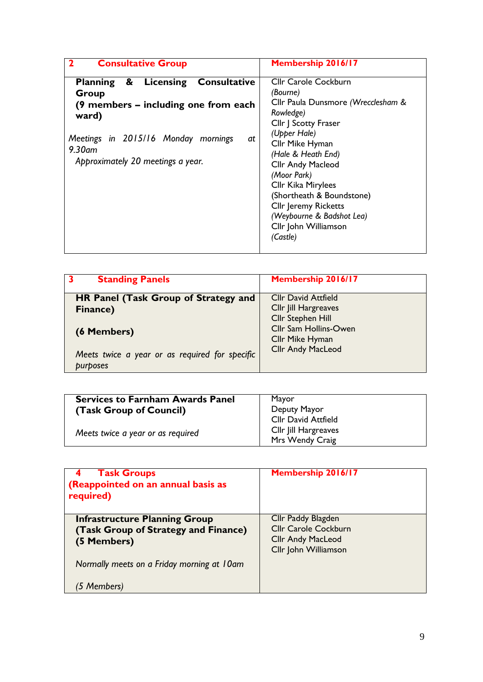| <b>Consultative Group</b><br>$\mathbf 2$                                                                                                                                                             | <b>Membership 2016/17</b>                                                                                                                                                                                                                                                                                                                                          |
|------------------------------------------------------------------------------------------------------------------------------------------------------------------------------------------------------|--------------------------------------------------------------------------------------------------------------------------------------------------------------------------------------------------------------------------------------------------------------------------------------------------------------------------------------------------------------------|
| & Licensing Consultative<br><b>Planning</b><br>Group<br>(9 members – including one from each<br>ward)<br>Meetings in 2015/16 Monday mornings<br>at<br>$9.30$ am<br>Approximately 20 meetings a year. | <b>Cllr Carole Cockburn</b><br>(Bourne)<br>Cllr Paula Dunsmore (Wrecclesham &<br>Rowledge)<br>Cllr J Scotty Fraser<br>(Upper Hale)<br>Cllr Mike Hyman<br>(Hale & Heath End)<br>Cllr Andy Macleod<br>(Moor Park)<br>Cllr Kika Mirylees<br>(Shortheath & Boundstone)<br><b>Cllr Jeremy Ricketts</b><br>(Weybourne & Badshot Lea)<br>Cllr John Williamson<br>(Castle) |

| 3<br><b>Standing Panels</b>                                     | <b>Membership 2016/17</b>                                                                                                                       |
|-----------------------------------------------------------------|-------------------------------------------------------------------------------------------------------------------------------------------------|
| HR Panel (Task Group of Strategy and<br>Finance)<br>(6 Members) | <b>Cllr David Attfield</b><br>Cllr Jill Hargreaves<br>Cllr Stephen Hill<br>Cllr Sam Hollins-Owen<br>Cllr Mike Hyman<br><b>Cllr Andy MacLeod</b> |
| Meets twice a year or as required for specific<br>purposes      |                                                                                                                                                 |

| <b>Services to Farnham Awards Panel</b><br>(Task Group of Council) | Mayor<br>Deputy Mayor<br>Cllr David Attfield |
|--------------------------------------------------------------------|----------------------------------------------|
| Meets twice a year or as required                                  | Cllr Jill Hargreaves<br>Mrs Wendy Craig      |

| <b>Task Groups</b><br>4<br>(Reappointed on an annual basis as<br>required)                  | Membership 2016/17                                                                                    |
|---------------------------------------------------------------------------------------------|-------------------------------------------------------------------------------------------------------|
| <b>Infrastructure Planning Group</b><br>(Task Group of Strategy and Finance)<br>(5 Members) | Cllr Paddy Blagden<br><b>Cllr Carole Cockburn</b><br><b>Cllr Andy MacLeod</b><br>Cllr John Williamson |
| Normally meets on a Friday morning at 10am<br>(5 Members)                                   |                                                                                                       |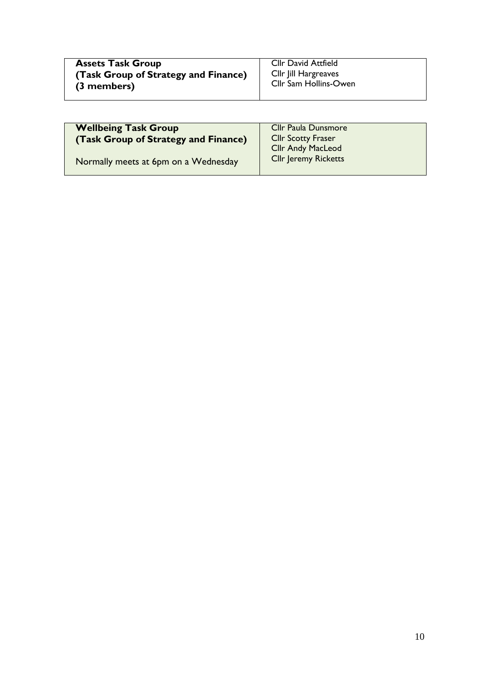| <b>Assets Task Group</b>             | <b>Cllr David Attfield</b> |
|--------------------------------------|----------------------------|
| (Task Group of Strategy and Finance) | CIIr Jill Hargreaves       |
| (3 members)                          | Cllr Sam Hollins-Owen      |

| <b>Cllr Paula Dunsmore</b>  |
|-----------------------------|
| <b>Cllr Scotty Fraser</b>   |
| <b>Cllr Andy MacLeod</b>    |
| <b>Cllr Jeremy Ricketts</b> |
|                             |